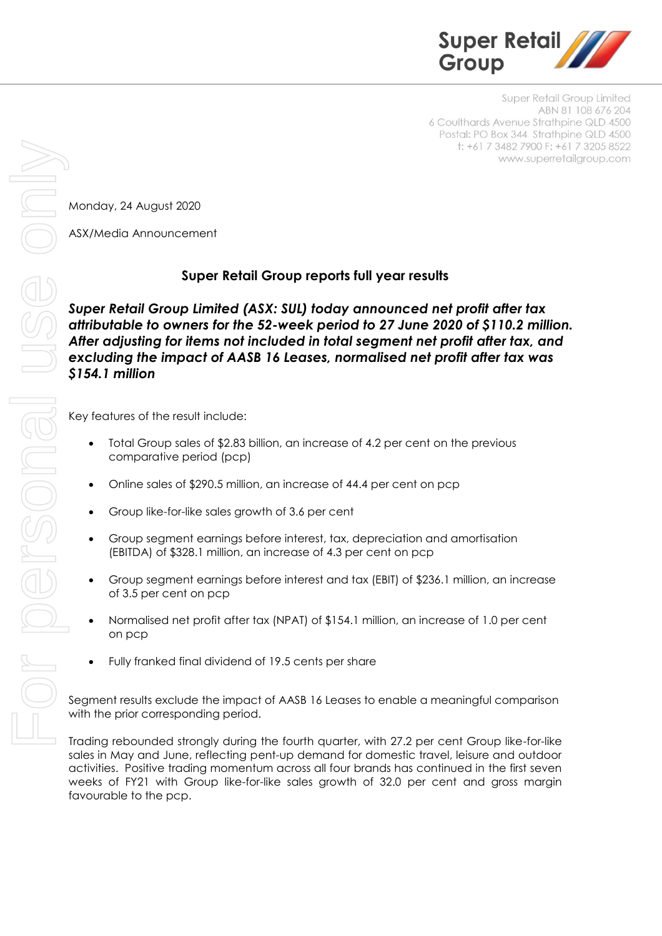

Super Retail Group Limited ABN 81 108 676 204 6 Coulthards Avenue Strathpine QLD 4500 Postal: PO Box 344 Strathpine QLD 4500 t: +61 7 3482 7900 F: +61 7 3205 8522 www.superretailgroup.com

Monday, 24 August 2020

ASX/Media Announcement

# **Super Retail Group reports full year results**

*Super Retail Group Limited (ASX: SUL) today announced net profit after tax attributable to owners for the 52-week period to 27 June 2020 of \$110.2 million. After adjusting for items not included in total segment net profit after tax, and excluding the impact of AASB 16 Leases, normalised net profit after tax was \$154.1 million*

Key features of the result include:

- Total Group sales of \$2.83 billion, an increase of 4.2 per cent on the previous comparative period (pcp)
- Online sales of \$290.5 million, an increase of 44.4 per cent on pcp
- Group like-for-like sales growth of 3.6 per cent
- Group segment earnings before interest, tax, depreciation and amortisation (EBITDA) of \$328.1 million, an increase of 4.3 per cent on pcp
- Group segment earnings before interest and tax (EBIT) of \$236.1 million, an increase of 3.5 per cent on pcp
- Normalised net profit after tax (NPAT) of \$154.1 million, an increase of 1.0 per cent on pcp
- Fully franked final dividend of 19.5 cents per share

Segment results exclude the impact of AASB 16 Leases to enable a meaningful comparison with the prior corresponding period.

Trading rebounded strongly during the fourth quarter, with 27.2 per cent Group like-for-like sales in May and June, reflecting pent-up demand for domestic travel, leisure and outdoor activities. Positive trading momentum across all four brands has continued in the first seven weeks of FY21 with Group like-for-like sales growth of 32.0 per cent and gross margin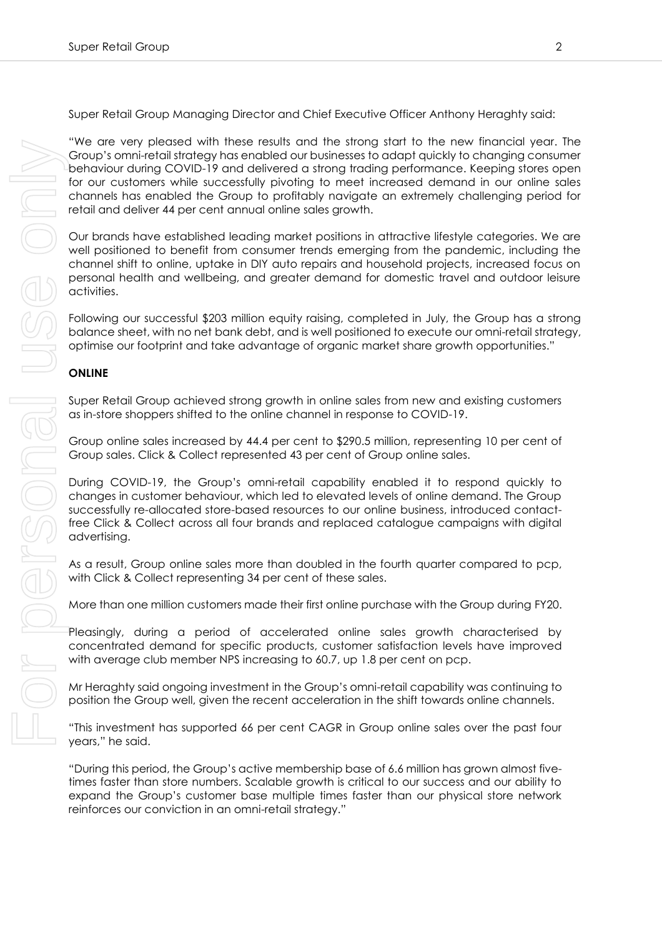Super Retail Group Managing Director and Chief Executive Officer Anthony Heraghty said:

"We are very pleased with these results and the strong start to the new financial year. The Group's omni-retail strategy has enabled our businesses to adapt quickly to changing consumer behaviour during COVID-19 and delivered a strong trading performance. Keeping stores open for our customers while successfully pivoting to meet increased demand in our online sales channels has enabled the Group to profitably navigate an extremely challenging period for retail and deliver 44 per cent annual online sales growth.

Our brands have established leading market positions in attractive lifestyle categories. We are well positioned to benefit from consumer trends emerging from the pandemic, including the channel shift to online, uptake in DIY auto repairs and household projects, increased focus on personal health and wellbeing, and greater demand for domestic travel and outdoor leisure activities.

Following our successful \$203 million equity raising, completed in July, the Group has a strong balance sheet, with no net bank debt, and is well positioned to execute our omni-retail strategy, optimise our footprint and take advantage of organic market share growth opportunities."

# **ONLINE**

Super Retail Group achieved strong growth in online sales from new and existing customers as in-store shoppers shifted to the online channel in response to COVID-19.

Group online sales increased by 44.4 per cent to \$290.5 million, representing 10 per cent of Group sales. Click & Collect represented 43 per cent of Group online sales.

During COVID-19, the Group's omni-retail capability enabled it to respond quickly to changes in customer behaviour, which led to elevated levels of online demand. The Group successfully re-allocated store-based resources to our online business, introduced contactfree Click & Collect across all four brands and replaced catalogue campaigns with digital advertising.

As a result, Group online sales more than doubled in the fourth quarter compared to pcp, with Click & Collect representing 34 per cent of these sales.

More than one million customers made their first online purchase with the Group during FY20.

Pleasingly, during a period of accelerated online sales growth characterised by concentrated demand for specific products, customer satisfaction levels have improved with average club member NPS increasing to 60.7, up 1.8 per cent on pcp.

Mr Heraghty said ongoing investment in the Group's omni-retail capability was continuing to position the Group well, given the recent acceleration in the shift towards online channels.

"This investment has supported 66 per cent CAGR in Group online sales over the past four years," he said.

"During this period, the Group's active membership base of 6.6 million has grown almost fivetimes faster than store numbers. Scalable growth is critical to our success and our ability to expand the Group's customer base multiple times faster than our physical store network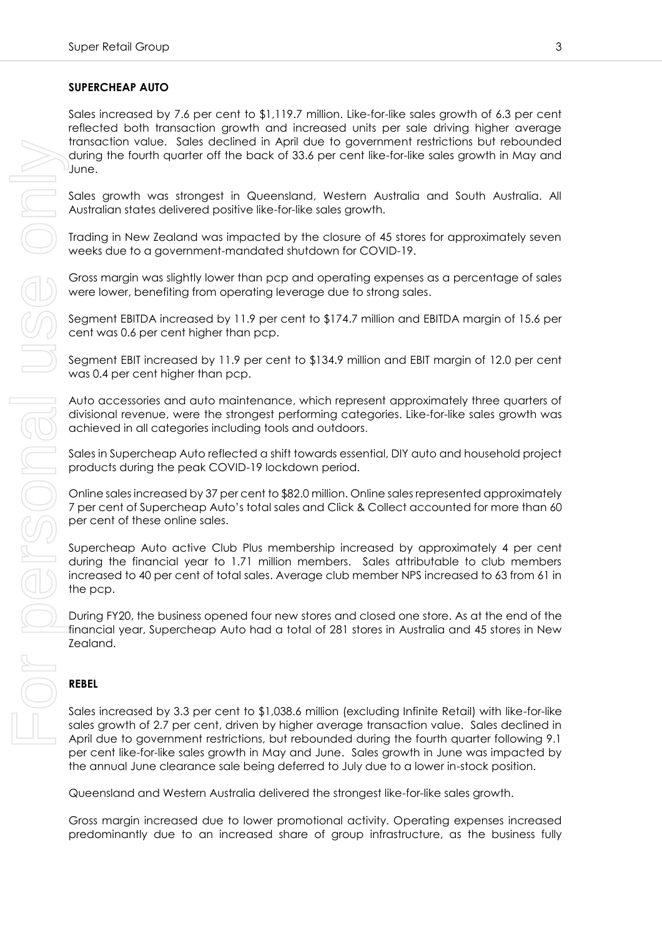### **SUPERCHEAP AUTO**

Sales increased by 7.6 per cent to \$1,119.7 million. Like-for-like sales growth of 6.3 per cent reflected both transaction growth and increased units per sale driving higher average transaction value. Sales declined in April due to government restrictions but rebounded during the fourth quarter off the back of 33.6 per cent like-for-like sales growth in May and June.

Sales growth was strongest in Queensland, Western Australia and South Australia. All Australian states delivered positive like-for-like sales growth.

Trading in New Zealand was impacted by the closure of 45 stores for approximately seven weeks due to a government-mandated shutdown for COVID-19.

Gross margin was slightly lower than pcp and operating expenses as a percentage of sales were lower, benefiting from operating leverage due to strong sales.

Segment EBITDA increased by 11.9 per cent to \$174.7 million and EBITDA margin of 15.6 per cent was 0.6 per cent higher than pcp.

Segment EBIT increased by 11.9 per cent to \$134.9 million and EBIT margin of 12.0 per cent was 0.4 per cent higher than pcp.

Auto accessories and auto maintenance, which represent approximately three quarters of divisional revenue, were the strongest performing categories. Like-for-like sales growth was achieved in all categories including tools and outdoors.

Sales in Supercheap Auto reflected a shift towards essential, DIY auto and household project products during the peak COVID-19 lockdown period.

Online sales increased by 37 per cent to \$82.0 million. Online sales represented approximately 7 per cent of Supercheap Auto's total sales and Click & Collect accounted for more than 60 per cent of these online sales.

Supercheap Auto active Club Plus membership increased by approximately 4 per cent during the financial year to 1.71 million members. Sales attributable to club members increased to 40 per cent of total sales. Average club member NPS increased to 63 from 61 in the pcp.

During FY20, the business opened four new stores and closed one store. As at the end of the financial year, Supercheap Auto had a total of 281 stores in Australia and 45 stores in New Zealand.

#### **REBEL**

Sales increased by 3.3 per cent to \$1,038.6 million (excluding Infinite Retail) with like-for-like sales growth of 2.7 per cent, driven by higher average transaction value. Sales declined in April due to government restrictions, but rebounded during the fourth quarter following 9.1 per cent like-for-like sales growth in May and June. Sales growth in June was impacted by the annual June clearance sale being deferred to July due to a lower in-stock position.

Queensland and Western Australia delivered the strongest like-for-like sales growth.

Gross margin increased due to lower promotional activity. Operating expenses increased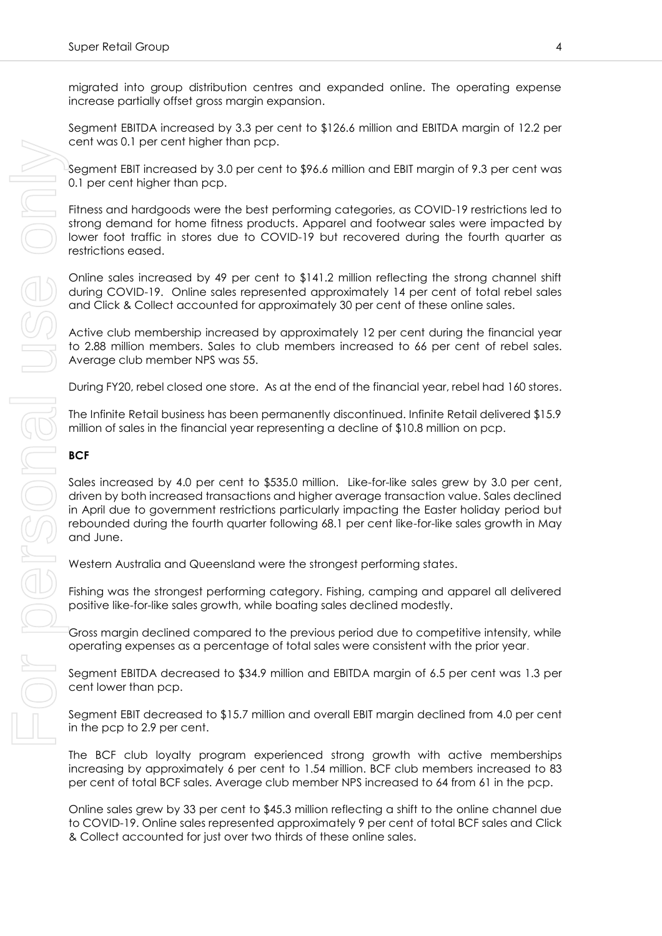migrated into group distribution centres and expanded online. The operating expense increase partially offset gross margin expansion.

Segment EBITDA increased by 3.3 per cent to \$126.6 million and EBITDA margin of 12.2 per cent was 0.1 per cent higher than pcp.

Segment EBIT increased by 3.0 per cent to \$96.6 million and EBIT margin of 9.3 per cent was 0.1 per cent higher than pcp.

Fitness and hardgoods were the best performing categories, as COVID-19 restrictions led to strong demand for home fitness products. Apparel and footwear sales were impacted by lower foot traffic in stores due to COVID-19 but recovered during the fourth quarter as restrictions eased.

Online sales increased by 49 per cent to \$141.2 million reflecting the strong channel shift during COVID-19. Online sales represented approximately 14 per cent of total rebel sales and Click & Collect accounted for approximately 30 per cent of these online sales.

Active club membership increased by approximately 12 per cent during the financial year to 2.88 million members. Sales to club members increased to 66 per cent of rebel sales. Average club member NPS was 55.

During FY20, rebel closed one store. As at the end of the financial year, rebel had 160 stores.

The Infinite Retail business has been permanently discontinued. Infinite Retail delivered \$15.9 million of sales in the financial year representing a decline of \$10.8 million on pcp.

#### **BCF**

Sales increased by 4.0 per cent to \$535.0 million. Like-for-like sales grew by 3.0 per cent, driven by both increased transactions and higher average transaction value. Sales declined in April due to government restrictions particularly impacting the Easter holiday period but rebounded during the fourth quarter following 68.1 per cent like-for-like sales growth in May and June.

Western Australia and Queensland were the strongest performing states.

Fishing was the strongest performing category. Fishing, camping and apparel all delivered positive like-for-like sales growth, while boating sales declined modestly.

Gross margin declined compared to the previous period due to competitive intensity, while operating expenses as a percentage of total sales were consistent with the prior year.

Segment EBITDA decreased to \$34.9 million and EBITDA margin of 6.5 per cent was 1.3 per cent lower than pcp.

Segment EBIT decreased to \$15.7 million and overall EBIT margin declined from 4.0 per cent in the pcp to 2.9 per cent.

The BCF club loyalty program experienced strong growth with active memberships increasing by approximately 6 per cent to 1.54 million. BCF club members increased to 83 per cent of total BCF sales. Average club member NPS increased to 64 from 61 in the pcp.

Online sales grew by 33 per cent to \$45.3 million reflecting a shift to the online channel due to COVID-19. Online sales represented approximately 9 per cent of total BCF sales and Click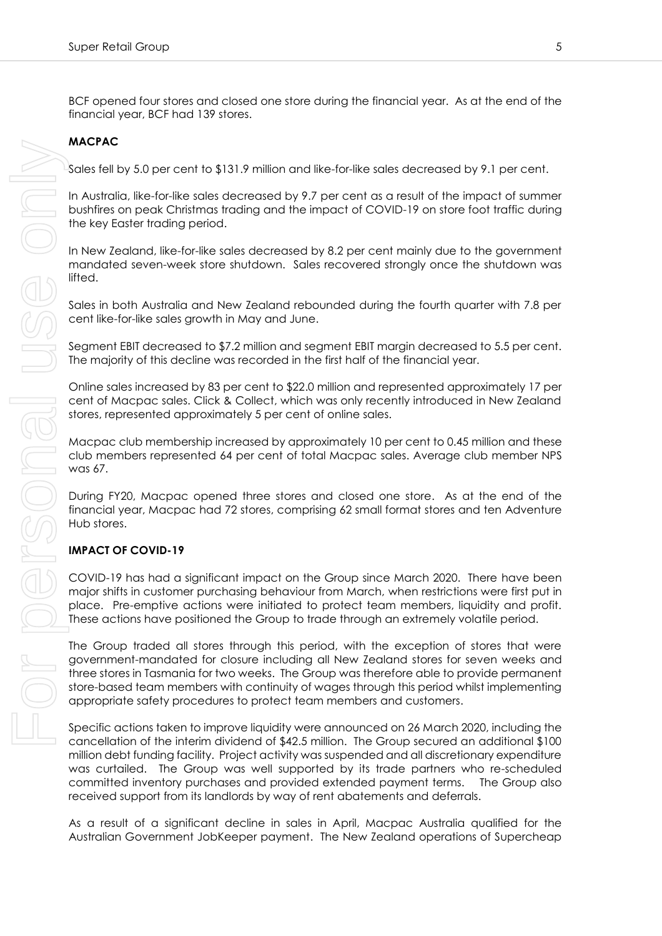BCF opened four stores and closed one store during the financial year. As at the end of the financial year, BCF had 139 stores.

# **MACPAC**

Sales fell by 5.0 per cent to \$131.9 million and like-for-like sales decreased by 9.1 per cent.

In Australia, like-for-like sales decreased by 9.7 per cent as a result of the impact of summer bushfires on peak Christmas trading and the impact of COVID-19 on store foot traffic during the key Easter trading period.

In New Zealand, like-for-like sales decreased by 8.2 per cent mainly due to the government mandated seven-week store shutdown. Sales recovered strongly once the shutdown was lifted.

Sales in both Australia and New Zealand rebounded during the fourth quarter with 7.8 per cent like-for-like sales growth in May and June.

Segment EBIT decreased to \$7.2 million and segment EBIT margin decreased to 5.5 per cent. The majority of this decline was recorded in the first half of the financial year.

Online sales increased by 83 per cent to \$22.0 million and represented approximately 17 per cent of Macpac sales. Click & Collect, which was only recently introduced in New Zealand stores, represented approximately 5 per cent of online sales.

Macpac club membership increased by approximately 10 per cent to 0.45 million and these club members represented 64 per cent of total Macpac sales. Average club member NPS was 67.

During FY20, Macpac opened three stores and closed one store. As at the end of the financial year, Macpac had 72 stores, comprising 62 small format stores and ten Adventure Hub stores.

### **IMPACT OF COVID-19**

COVID-19 has had a significant impact on the Group since March 2020. There have been major shifts in customer purchasing behaviour from March, when restrictions were first put in place. Pre-emptive actions were initiated to protect team members, liquidity and profit. These actions have positioned the Group to trade through an extremely volatile period.

The Group traded all stores through this period, with the exception of stores that were government-mandated for closure including all New Zealand stores for seven weeks and three stores in Tasmania for two weeks. The Group was therefore able to provide permanent store-based team members with continuity of wages through this period whilst implementing appropriate safety procedures to protect team members and customers.

Specific actions taken to improve liquidity were announced on 26 March 2020, including the cancellation of the interim dividend of \$42.5 million. The Group secured an additional \$100 million debt funding facility. Project activity was suspended and all discretionary expenditure was curtailed. The Group was well supported by its trade partners who re-scheduled committed inventory purchases and provided extended payment terms. The Group also received support from its landlords by way of rent abatements and deferrals. More the state of the New Zealand operation of Supercent Campating Control and the New Zealand operation of Control and the New Zealand operations of Control in the New Zealand operations of Control in the New Zealand oper

As a result of a significant decline in sales in April, Macpac Australia qualified for the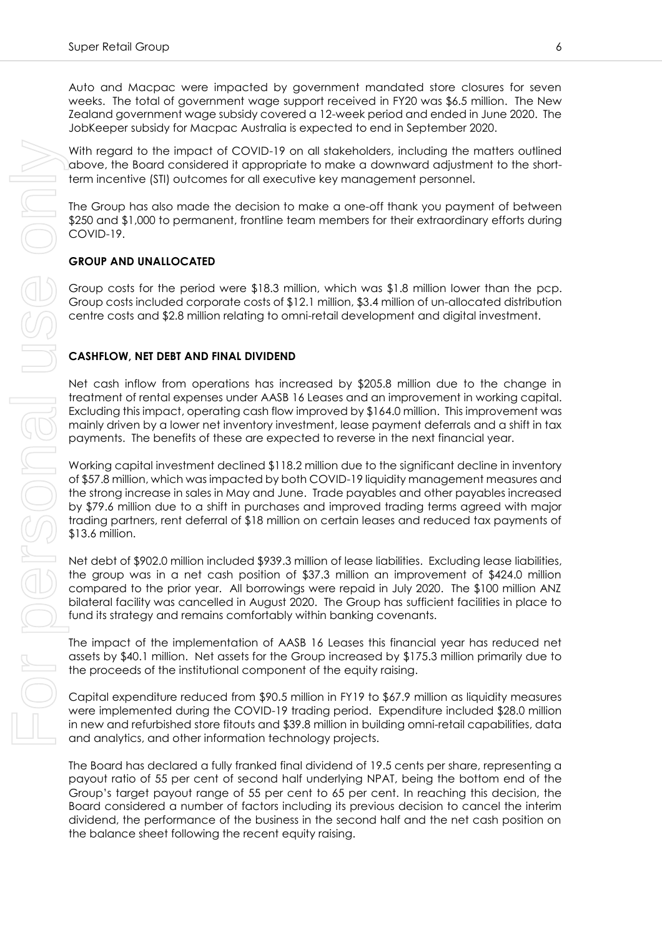Auto and Macpac were impacted by government mandated store closures for seven weeks. The total of government wage support received in FY20 was \$6.5 million. The New Zealand government wage subsidy covered a 12-week period and ended in June 2020. The JobKeeper subsidy for Macpac Australia is expected to end in September 2020.

With regard to the impact of COVID-19 on all stakeholders, including the matters outlined above, the Board considered it appropriate to make a downward adjustment to the shortterm incentive (STI) outcomes for all executive key management personnel.

The Group has also made the decision to make a one-off thank you payment of between \$250 and \$1,000 to permanent, frontline team members for their extraordinary efforts during COVID-19.

### **GROUP AND UNALLOCATED**

Group costs for the period were \$18.3 million, which was \$1.8 million lower than the pcp. Group costs included corporate costs of \$12.1 million, \$3.4 million of un-allocated distribution centre costs and \$2.8 million relating to omni-retail development and digital investment.

### **CASHFLOW, NET DEBT AND FINAL DIVIDEND**

Net cash inflow from operations has increased by \$205.8 million due to the change in treatment of rental expenses under AASB 16 Leases and an improvement in working capital. Excluding this impact, operating cash flow improved by \$164.0 million. This improvement was mainly driven by a lower net inventory investment, lease payment deferrals and a shift in tax payments. The benefits of these are expected to reverse in the next financial year.

Working capital investment declined \$118.2 million due to the significant decline in inventory of \$57.8 million, which was impacted by both COVID-19 liquidity management measures and the strong increase in sales in May and June. Trade payables and other payables increased by \$79.6 million due to a shift in purchases and improved trading terms agreed with major trading partners, rent deferral of \$18 million on certain leases and reduced tax payments of \$13.6 million.

Net debt of \$902.0 million included \$939.3 million of lease liabilities. Excluding lease liabilities, the group was in a net cash position of \$37.3 million an improvement of \$424.0 million compared to the prior year. All borrowings were repaid in July 2020. The \$100 million ANZ bilateral facility was cancelled in August 2020. The Group has sufficient facilities in place to fund its strategy and remains comfortably within banking covenants.

The impact of the implementation of AASB 16 Leases this financial year has reduced net assets by \$40.1 million. Net assets for the Group increased by \$175.3 million primarily due to the proceeds of the institutional component of the equity raising.

Capital expenditure reduced from \$90.5 million in FY19 to \$67.9 million as liquidity measures were implemented during the COVID-19 trading period. Expenditure included \$28.0 million in new and refurbished store fitouts and \$39.8 million in building omni-retail capabilities, data and analytics, and other information technology projects.

The Board has declared a fully franked final dividend of 19.5 cents per share, representing a payout ratio of 55 per cent of second half underlying NPAT, being the bottom end of the Group's target payout range of 55 per cent to 65 per cent. In reaching this decision, the Board considered a number of factors including its previous decision to cancel the interim dividend, the performance of the business in the second half and the net cash position on